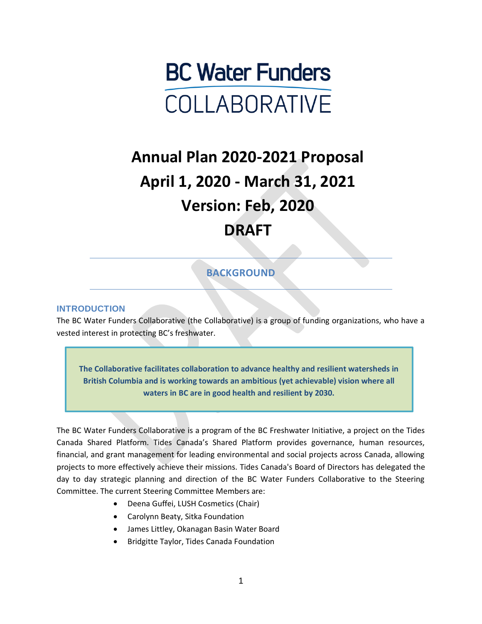

# **Annual Plan 2020-2021 Proposal April 1, 2020 - March 31, 2021 Version: Feb, 2020 DRAFT**

## **BACKGROUND**

#### **INTRODUCTION**

The BC Water Funders Collaborative (the Collaborative) is a group of funding organizations, who have a vested interest in protecting BC's freshwater.

**The Collaborative facilitates collaboration to advance healthy and resilient watersheds in British Columbia and is working towards an ambitious (yet achievable) vision where all waters in BC are in good health and resilient by 2030.**

The BC Water Funders Collaborative is a program of the BC Freshwater Initiative, a project on the Tides Canada Shared Platform. Tides Canada's Shared Platform provides governance, human resources, financial, and grant management for leading environmental and social projects across Canada, allowing projects to more effectively achieve their missions. Tides Canada's Board of Directors has delegated the day to day strategic planning and direction of the BC Water Funders Collaborative to the Steering Committee. The current Steering Committee Members are:

- Deena Guffei, LUSH Cosmetics (Chair)
- Carolynn Beaty, Sitka Foundation
- James Littley, Okanagan Basin Water Board
- Bridgitte Taylor, Tides Canada Foundation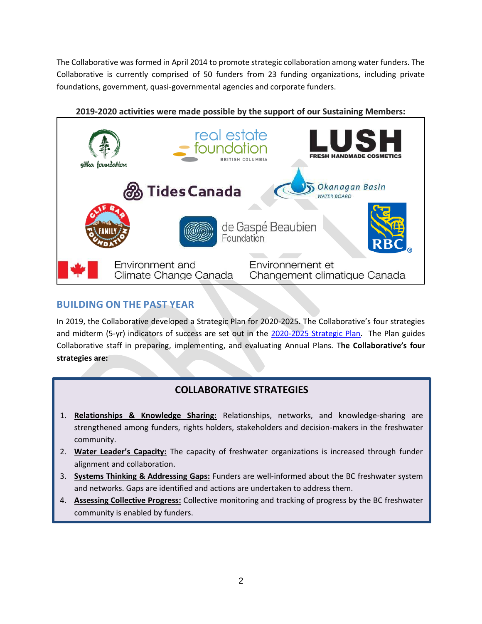The Collaborative was formed in April 2014 to promote strategic collaboration among water funders. The Collaborative is currently comprised of 50 funders from 23 funding organizations, including private foundations, government, quasi-governmental agencies and corporate funders.



## **2019-2020 activities were made possible by the support of our Sustaining Members:**

## **BUILDING ON THE PAST YEAR**

In 2019, the Collaborative developed a Strategic Plan for 2020-2025. The Collaborative's four strategies and midterm (5-yr) indicators of success are set out in the [2020-2025 Strategic Plan.](https://516770cd-2064-473e-935d-36c5d3a8d71f.filesusr.com/ugd/68a8ec_13c9298d9aad45e29b88635ba1c0546f.pdf) The Plan guides Collaborative staff in preparing, implementing, and evaluating Annual Plans. T**he Collaborative's four strategies are:**

## **COLLABORATIVE STRATEGIES**

- 1. **Relationships & Knowledge Sharing:** Relationships, networks, and knowledge-sharing are strengthened among funders, rights holders, stakeholders and decision-makers in the freshwater community.
- 2. **Water Leader's Capacity:** The capacity of freshwater organizations is increased through funder alignment and collaboration.
- 3. **Systems Thinking & Addressing Gaps:** Funders are well-informed about the BC freshwater system and networks. Gaps are identified and actions are undertaken to address them.
- 4. **Assessing Collective Progress:** Collective monitoring and tracking of progress by the BC freshwater community is enabled by funders.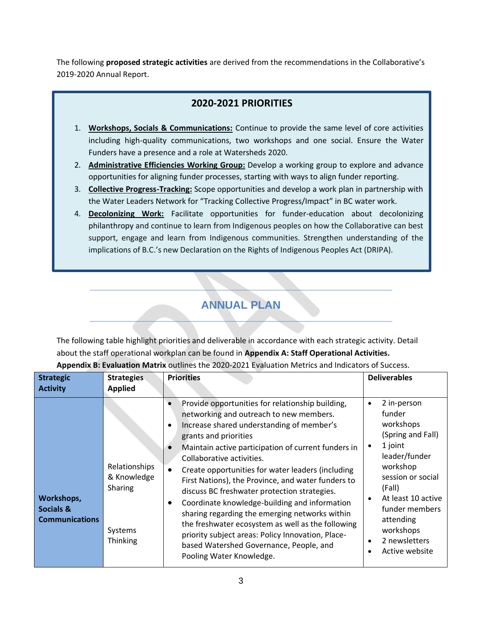The following **proposed strategic activities** are derived from the recommendations in the Collaborative's 2019-2020 Annual Report.

## **2020-2021 PRIORITIES**

- 1. **Workshops, Socials & Communications:** Continue to provide the same level of core activities including high-quality communications, two workshops and one social. Ensure the Water Funders have a presence and a role at Watersheds 2020.
- 2. **Administrative Efficiencies Working Group:** Develop a working group to explore and advance opportunities for aligning funder processes, starting with ways to align funder reporting.
- 3. **Collective Progress-Tracking:** Scope opportunities and develop a work plan in partnership with the Water Leaders Network for "Tracking Collective Progress/Impact" in BC water work.
- 4. **Decolonizing Work:** Facilitate opportunities for funder-education about decolonizing philanthropy and continue to learn from Indigenous peoples on how the Collaborative can best support, engage and learn from Indigenous communities. Strengthen understanding of the implications of B.C.'s new Declaration on the Rights of Indigenous Peoples Act (DRIPA).

## **ANNUAL PLAN**

The following table highlight priorities and deliverable in accordance with each strategic activity. Detail about the staff operational workplan can be found in **Appendix A: Staff Operational Activities.**

| <b>Strategic</b><br><b>Activity</b>                         | <b>Strategies</b><br><b>Applied</b>                            | <b>Priorities</b>                                                                                                                                                                                                                                                                                                                                                                                                                                                                                                                                                                                                                                                                                                                                                     | <b>Deliverables</b>                                                                                                                                                                                                                                                        |
|-------------------------------------------------------------|----------------------------------------------------------------|-----------------------------------------------------------------------------------------------------------------------------------------------------------------------------------------------------------------------------------------------------------------------------------------------------------------------------------------------------------------------------------------------------------------------------------------------------------------------------------------------------------------------------------------------------------------------------------------------------------------------------------------------------------------------------------------------------------------------------------------------------------------------|----------------------------------------------------------------------------------------------------------------------------------------------------------------------------------------------------------------------------------------------------------------------------|
| Workshops,<br><b>Socials &amp;</b><br><b>Communications</b> | Relationships<br>& Knowledge<br>Sharing<br>Systems<br>Thinking | Provide opportunities for relationship building,<br>$\bullet$<br>networking and outreach to new members.<br>Increase shared understanding of member's<br>$\bullet$<br>grants and priorities<br>Maintain active participation of current funders in<br>$\bullet$<br>Collaborative activities.<br>Create opportunities for water leaders (including<br>$\bullet$<br>First Nations), the Province, and water funders to<br>discuss BC freshwater protection strategies.<br>Coordinate knowledge-building and information<br>$\bullet$<br>sharing regarding the emerging networks within<br>the freshwater ecosystem as well as the following<br>priority subject areas: Policy Innovation, Place-<br>based Watershed Governance, People, and<br>Pooling Water Knowledge. | 2 in-person<br>$\bullet$<br>funder<br>workshops<br>(Spring and Fall)<br>1 joint<br>$\bullet$<br>leader/funder<br>workshop<br>session or social<br>(Fall)<br>At least 10 active<br>$\bullet$<br>funder members<br>attending<br>workshops<br>2 newsletters<br>Active website |

**Appendix B: Evaluation Matrix** outlines the 2020-2021 Evaluation Metrics and Indicators of Success.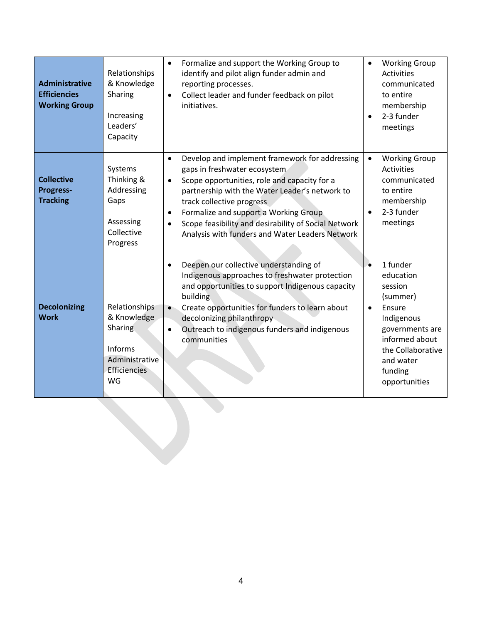| <b>Administrative</b><br><b>Efficiencies</b><br><b>Working Group</b> | Relationships<br>& Knowledge<br>Sharing<br>Increasing<br>Leaders'<br>Capacity                     | Formalize and support the Working Group to<br>$\bullet$<br>identify and pilot align funder admin and<br>reporting processes.<br>Collect leader and funder feedback on pilot<br>$\bullet$<br>initiatives.                                                                                                                                                                                                              | <b>Working Group</b><br>$\bullet$<br><b>Activities</b><br>communicated<br>to entire<br>membership<br>2-3 funder<br>meetings                                                                       |
|----------------------------------------------------------------------|---------------------------------------------------------------------------------------------------|-----------------------------------------------------------------------------------------------------------------------------------------------------------------------------------------------------------------------------------------------------------------------------------------------------------------------------------------------------------------------------------------------------------------------|---------------------------------------------------------------------------------------------------------------------------------------------------------------------------------------------------|
| <b>Collective</b><br><b>Progress-</b><br><b>Tracking</b>             | Systems<br>Thinking &<br>Addressing<br>Gaps<br>Assessing<br>Collective<br>Progress                | Develop and implement framework for addressing<br>$\bullet$<br>gaps in freshwater ecosystem<br>Scope opportunities, role and capacity for a<br>$\bullet$<br>partnership with the Water Leader's network to<br>track collective progress<br>Formalize and support a Working Group<br>$\bullet$<br>Scope feasibility and desirability of Social Network<br>$\bullet$<br>Analysis with funders and Water Leaders Network | <b>Working Group</b><br>Activities<br>communicated<br>to entire<br>membership<br>2-3 funder<br>meetings                                                                                           |
| <b>Decolonizing</b><br><b>Work</b>                                   | Relationships<br>& Knowledge<br>Sharing<br>Informs<br>Administrative<br><b>Efficiencies</b><br>WG | Deepen our collective understanding of<br>$\bullet$<br>Indigenous approaches to freshwater protection<br>and opportunities to support Indigenous capacity<br>building<br>Create opportunities for funders to learn about<br>$\bullet$<br>decolonizing philanthropy<br>Outreach to indigenous funders and indigenous<br>$\bullet$<br>communities                                                                       | 1 funder<br>$\bullet$<br>education<br>session<br>(summer)<br>Ensure<br>$\bullet$<br>Indigenous<br>governments are<br>informed about<br>the Collaborative<br>and water<br>funding<br>opportunities |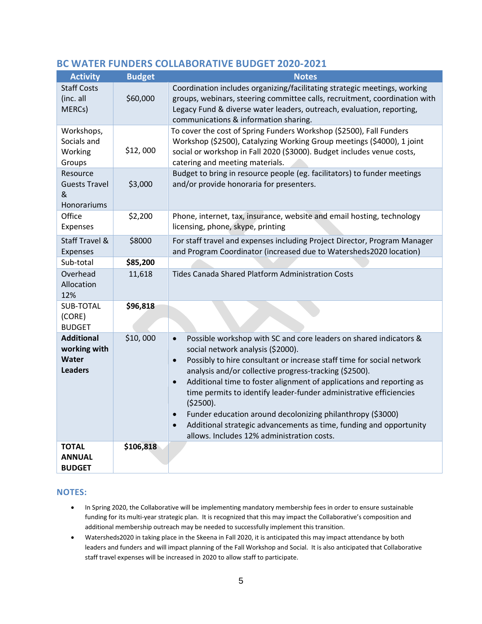| <b>Activity</b>                                              | <b>Budget</b> | <b>Notes</b>                                                                                                                                                                                                                                                                                                                                                                                                                                                                                                                                                                                                      |
|--------------------------------------------------------------|---------------|-------------------------------------------------------------------------------------------------------------------------------------------------------------------------------------------------------------------------------------------------------------------------------------------------------------------------------------------------------------------------------------------------------------------------------------------------------------------------------------------------------------------------------------------------------------------------------------------------------------------|
| <b>Staff Costs</b><br>(inc. all<br>MERCs)                    | \$60,000      | Coordination includes organizing/facilitating strategic meetings, working<br>groups, webinars, steering committee calls, recruitment, coordination with<br>Legacy Fund & diverse water leaders, outreach, evaluation, reporting,<br>communications & information sharing.                                                                                                                                                                                                                                                                                                                                         |
| Workshops,<br>Socials and<br>Working<br>Groups               | \$12,000      | To cover the cost of Spring Funders Workshop (\$2500), Fall Funders<br>Workshop (\$2500), Catalyzing Working Group meetings (\$4000), 1 joint<br>social or workshop in Fall 2020 (\$3000). Budget includes venue costs,<br>catering and meeting materials.                                                                                                                                                                                                                                                                                                                                                        |
| Resource<br><b>Guests Travel</b><br>&<br>Honorariums         | \$3,000       | Budget to bring in resource people (eg. facilitators) to funder meetings<br>and/or provide honoraria for presenters.                                                                                                                                                                                                                                                                                                                                                                                                                                                                                              |
| Office<br>Expenses                                           | \$2,200       | Phone, internet, tax, insurance, website and email hosting, technology<br>licensing, phone, skype, printing                                                                                                                                                                                                                                                                                                                                                                                                                                                                                                       |
| <b>Staff Travel &amp;</b><br>Expenses                        | \$8000        | For staff travel and expenses including Project Director, Program Manager<br>and Program Coordinator (increased due to Watersheds2020 location)                                                                                                                                                                                                                                                                                                                                                                                                                                                                   |
| Sub-total                                                    | \$85,200      |                                                                                                                                                                                                                                                                                                                                                                                                                                                                                                                                                                                                                   |
| Overhead<br>Allocation<br>12%                                | 11,618        | <b>Tides Canada Shared Platform Administration Costs</b>                                                                                                                                                                                                                                                                                                                                                                                                                                                                                                                                                          |
| SUB-TOTAL<br>(CORE)<br><b>BUDGET</b>                         | \$96,818      |                                                                                                                                                                                                                                                                                                                                                                                                                                                                                                                                                                                                                   |
| <b>Additional</b><br>working with<br>Water<br><b>Leaders</b> | \$10,000      | Possible workshop with SC and core leaders on shared indicators &<br>$\bullet$<br>social network analysis (\$2000).<br>Possibly to hire consultant or increase staff time for social network<br>analysis and/or collective progress-tracking (\$2500).<br>Additional time to foster alignment of applications and reporting as<br>time permits to identify leader-funder administrative efficiencies<br>( \$2500).<br>Funder education around decolonizing philanthropy (\$3000)<br>Additional strategic advancements as time, funding and opportunity<br>$\bullet$<br>allows. Includes 12% administration costs. |
| <b>TOTAL</b><br><b>ANNUAL</b><br><b>BUDGET</b>               | \$106,818     |                                                                                                                                                                                                                                                                                                                                                                                                                                                                                                                                                                                                                   |

#### **BC WATER FUNDERS COLLABORATIVE BUDGET 2020-2021**

#### **NOTES:**

- In Spring 2020, the Collaborative will be implementing mandatory membership fees in order to ensure sustainable funding for its multi-year strategic plan. It is recognized that this may impact the Collaborative's composition and additional membership outreach may be needed to successfully implement this transition.
- Watersheds2020 in taking place in the Skeena in Fall 2020, it is anticipated this may impact attendance by both leaders and funders and will impact planning of the Fall Workshop and Social. It is also anticipated that Collaborative staff travel expenses will be increased in 2020 to allow staff to participate.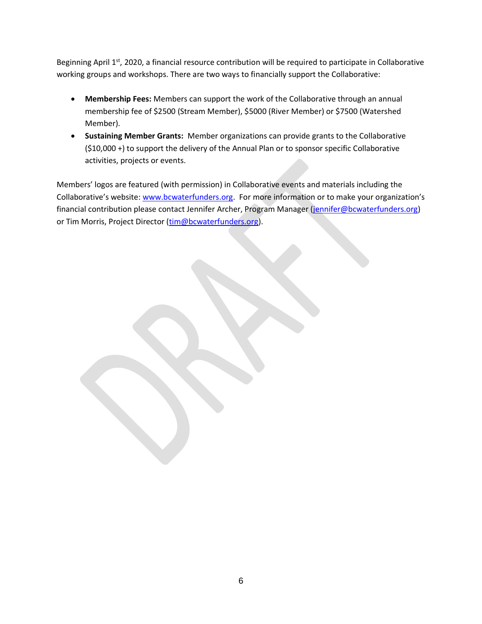Beginning April 1<sup>st</sup>, 2020, a financial resource contribution will be required to participate in Collaborative working groups and workshops. There are two ways to financially support the Collaborative:

- **Membership Fees:** Members can support the work of the Collaborative through an annual membership fee of \$2500 (Stream Member), \$5000 (River Member) or \$7500 (Watershed Member).
- **Sustaining Member Grants:** Member organizations can provide grants to the Collaborative (\$10,000 +) to support the delivery of the Annual Plan or to sponsor specific Collaborative activities, projects or events.

Members' logos are featured (with permission) in Collaborative events and materials including the Collaborative's website: [www.bcwaterfunders.org.](http://www.bcwaterfunders.org/) For more information or to make your organization's financial contribution please contact Jennifer Archer, Program Manager [\(jennifer@bcwaterfunders.org\)](mailto:jennifer@bcwaterfunders.org) or Tim Morris, Project Director [\(tim@bcwaterfunders.org\)](mailto:tim@bcwaterfunders.org).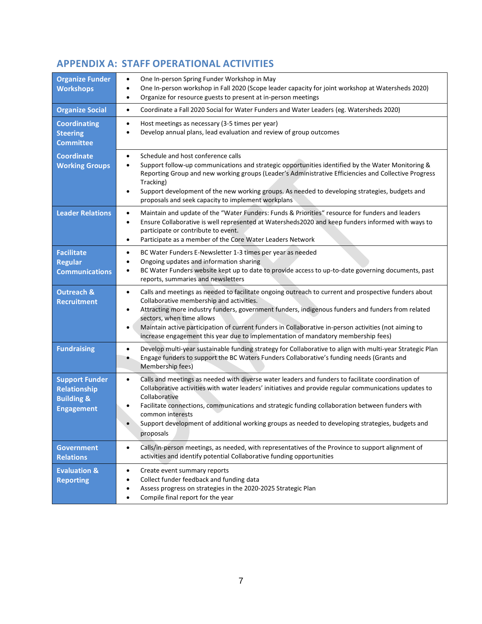## **APPENDIX A: STAFF OPERATIONAL ACTIVITIES**

| <b>Organize Funder</b>                                                                     | One In-person Spring Funder Workshop in May<br>$\bullet$                                                                                                                                                                                                                                                                                                                                                                                                                                                   |
|--------------------------------------------------------------------------------------------|------------------------------------------------------------------------------------------------------------------------------------------------------------------------------------------------------------------------------------------------------------------------------------------------------------------------------------------------------------------------------------------------------------------------------------------------------------------------------------------------------------|
| <b>Workshops</b>                                                                           | One In-person workshop in Fall 2020 (Scope leader capacity for joint workshop at Watersheds 2020)<br>$\bullet$<br>Organize for resource guests to present at in-person meetings<br>$\bullet$                                                                                                                                                                                                                                                                                                               |
| <b>Organize Social</b>                                                                     | Coordinate a Fall 2020 Social for Water Funders and Water Leaders (eg. Watersheds 2020)<br>$\bullet$                                                                                                                                                                                                                                                                                                                                                                                                       |
| <b>Coordinating</b><br><b>Steering</b><br><b>Committee</b>                                 | Host meetings as necessary (3-5 times per year)<br>$\bullet$<br>Develop annual plans, lead evaluation and review of group outcomes                                                                                                                                                                                                                                                                                                                                                                         |
| <b>Coordinate</b><br><b>Working Groups</b>                                                 | Schedule and host conference calls<br>$\bullet$<br>Support follow-up communications and strategic opportunities identified by the Water Monitoring &<br>$\bullet$<br>Reporting Group and new working groups (Leader's Administrative Efficiencies and Collective Progress<br>Tracking)<br>Support development of the new working groups. As needed to developing strategies, budgets and<br>$\bullet$<br>proposals and seek capacity to implement workplans                                                |
| <b>Leader Relations</b>                                                                    | Maintain and update of the "Water Funders: Funds & Priorities" resource for funders and leaders<br>$\bullet$<br>Ensure Collaborative is well represented at Watersheds2020 and keep funders informed with ways to<br>$\bullet$<br>participate or contribute to event.<br>Participate as a member of the Core Water Leaders Network<br>$\bullet$                                                                                                                                                            |
| <b>Facilitate</b>                                                                          | BC Water Funders E-Newsletter 1-3 times per year as needed<br>$\bullet$                                                                                                                                                                                                                                                                                                                                                                                                                                    |
| <b>Regular</b><br><b>Communications</b>                                                    | Ongoing updates and information sharing<br>٠<br>BC Water Funders website kept up to date to provide access to up-to-date governing documents, past<br>$\bullet$<br>reports, summaries and newsletters                                                                                                                                                                                                                                                                                                      |
| <b>Outreach &amp;</b><br><b>Recruitment</b>                                                | Calls and meetings as needed to facilitate ongoing outreach to current and prospective funders about<br>$\bullet$<br>Collaborative membership and activities.<br>Attracting more industry funders, government funders, indigenous funders and funders from related<br>$\bullet$<br>sectors, when time allows<br>Maintain active participation of current funders in Collaborative in-person activities (not aiming to<br>increase engagement this year due to implementation of mandatory membership fees) |
| <b>Fundraising</b>                                                                         | Develop multi-year sustainable funding strategy for Collaborative to align with multi-year Strategic Plan<br>$\bullet$<br>Engage funders to support the BC Waters Funders Collaborative's funding needs (Grants and<br>٠<br>Membership fees)                                                                                                                                                                                                                                                               |
| <b>Support Funder</b><br><b>Relationship</b><br><b>Building &amp;</b><br><b>Engagement</b> | Calls and meetings as needed with diverse water leaders and funders to facilitate coordination of<br>$\bullet$<br>Collaborative activities with water leaders' initiatives and provide regular communications updates to<br>Collaborative<br>Facilitate connections, communications and strategic funding collaboration between funders with<br>common interests<br>Support development of additional working groups as needed to developing strategies, budgets and<br>proposals                          |
| <b>Government</b><br><b>Relations</b>                                                      | Calls/in-person meetings, as needed, with representatives of the Province to support alignment of<br>$\bullet$<br>activities and identify potential Collaborative funding opportunities                                                                                                                                                                                                                                                                                                                    |
| <b>Evaluation &amp;</b><br><b>Reporting</b>                                                | Create event summary reports<br>٠<br>Collect funder feedback and funding data<br>٠<br>Assess progress on strategies in the 2020-2025 Strategic Plan<br>Compile final report for the year                                                                                                                                                                                                                                                                                                                   |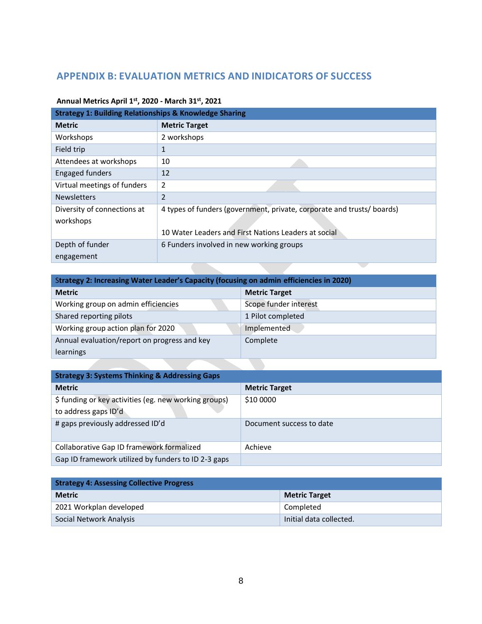## **APPENDIX B: EVALUATION METRICS AND INIDICATORS OF SUCCESS**

| <b>Strategy 1: Building Relationships &amp; Knowledge Sharing</b> |                                                                       |  |
|-------------------------------------------------------------------|-----------------------------------------------------------------------|--|
| <b>Metric</b>                                                     | <b>Metric Target</b>                                                  |  |
| Workshops                                                         | 2 workshops                                                           |  |
| Field trip                                                        | 1                                                                     |  |
| Attendees at workshops                                            | 10                                                                    |  |
| <b>Engaged funders</b>                                            | 12                                                                    |  |
| Virtual meetings of funders                                       | 2                                                                     |  |
| <b>Newsletters</b>                                                | $\mathfrak{D}$                                                        |  |
| Diversity of connections at                                       | 4 types of funders (government, private, corporate and trusts/boards) |  |
| workshops                                                         |                                                                       |  |
|                                                                   | 10 Water Leaders and First Nations Leaders at social                  |  |
| Depth of funder                                                   | 6 Funders involved in new working groups                              |  |
| engagement                                                        |                                                                       |  |

#### **Annual Metrics April 1st, 2020 - March 31st, 2021**

**All Dealers** 

| Strategy 2: Increasing Water Leader's Capacity (focusing on admin efficiencies in 2020) |                       |  |
|-----------------------------------------------------------------------------------------|-----------------------|--|
| <b>Metric</b>                                                                           | <b>Metric Target</b>  |  |
| Working group on admin efficiencies                                                     | Scope funder interest |  |
| Shared reporting pilots                                                                 | 1 Pilot completed     |  |
| Working group action plan for 2020                                                      | Implemented           |  |
| Annual evaluation/report on progress and key                                            | Complete              |  |
| learnings                                                                               |                       |  |

**The Second Second** 

| <b>Strategy 3: Systems Thinking &amp; Addressing Gaps</b> |                          |  |
|-----------------------------------------------------------|--------------------------|--|
| <b>Metric</b>                                             | <b>Metric Target</b>     |  |
| \$ funding or key activities (eg. new working groups)     | \$10 0000                |  |
| to address gaps ID'd                                      |                          |  |
| # gaps previously addressed ID'd                          | Document success to date |  |
| Collaborative Gap ID framework formalized                 | Achieve                  |  |
| Gap ID framework utilized by funders to ID 2-3 gaps       |                          |  |

| <b>Strategy 4: Assessing Collective Progress</b> |                         |  |
|--------------------------------------------------|-------------------------|--|
| <b>Metric</b>                                    | <b>Metric Target</b>    |  |
| 2021 Workplan developed                          | Completed               |  |
| Social Network Analysis                          | Initial data collected. |  |